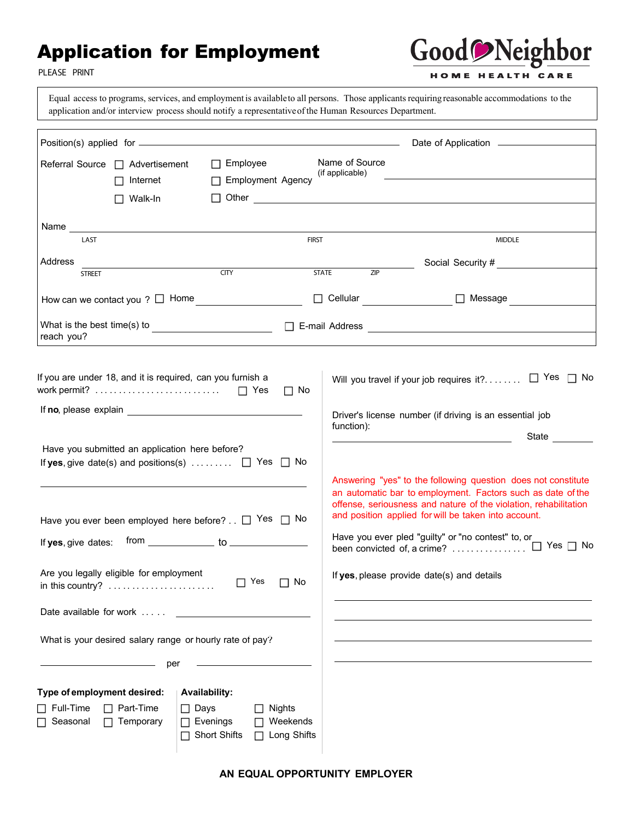#### Application for Employment



**PLEASE PRINT**

Equal access to programs, services, and employment is availableto all persons. Those applicants requiring reasonable accommodations to the application and/or interview process should notify a representativeof the Human Resources Department.

|                                                                                                                                                                                                                               |                                                                                                                                                                                                                              |                                                                                                                                                                                                       |                                          | <u> 1980 - Andrea Station Books, amerikansk politik (d. 1980)</u> |                                                                                                                                                                                                                                                                                                                                                              |
|-------------------------------------------------------------------------------------------------------------------------------------------------------------------------------------------------------------------------------|------------------------------------------------------------------------------------------------------------------------------------------------------------------------------------------------------------------------------|-------------------------------------------------------------------------------------------------------------------------------------------------------------------------------------------------------|------------------------------------------|-------------------------------------------------------------------|--------------------------------------------------------------------------------------------------------------------------------------------------------------------------------------------------------------------------------------------------------------------------------------------------------------------------------------------------------------|
|                                                                                                                                                                                                                               | Referral Source □ Advertisement<br>Internet<br>$\Box$ Walk-In                                                                                                                                                                | $\Box$ Employee<br>□ Employment Agency                                                                                                                                                                |                                          | Name of Source<br>(if applicable)                                 | $\Box$ Other $\Box$                                                                                                                                                                                                                                                                                                                                          |
| Name and the set of the set of the set of the set of the set of the set of the set of the set of the set of the set of the set of the set of the set of the set of the set of the set of the set of the set of the set of the |                                                                                                                                                                                                                              |                                                                                                                                                                                                       |                                          |                                                                   |                                                                                                                                                                                                                                                                                                                                                              |
| LAST                                                                                                                                                                                                                          |                                                                                                                                                                                                                              |                                                                                                                                                                                                       | <b>FIRST</b>                             |                                                                   | <b>MIDDLE</b>                                                                                                                                                                                                                                                                                                                                                |
| Address<br><b>STREET</b>                                                                                                                                                                                                      |                                                                                                                                                                                                                              | CITY                                                                                                                                                                                                  |                                          | ZIP<br><b>STATE</b>                                               | Social Security # Social Security #                                                                                                                                                                                                                                                                                                                          |
|                                                                                                                                                                                                                               |                                                                                                                                                                                                                              | How can we contact you $? \Box$ Home                                                                                                                                                                  |                                          |                                                                   | □ Cellular _________________ □ Message ___________                                                                                                                                                                                                                                                                                                           |
| reach you?                                                                                                                                                                                                                    |                                                                                                                                                                                                                              |                                                                                                                                                                                                       |                                          |                                                                   | What is the best time(s) to $\Box$ E-mail Address $\Box$                                                                                                                                                                                                                                                                                                     |
|                                                                                                                                                                                                                               | If you are under 18, and it is required, can you furnish a                                                                                                                                                                   |                                                                                                                                                                                                       | $\Box$ No                                |                                                                   | $\Box$ Yes<br>$\Box$ No<br>Will you travel if your job requires it?                                                                                                                                                                                                                                                                                          |
|                                                                                                                                                                                                                               |                                                                                                                                                                                                                              |                                                                                                                                                                                                       |                                          |                                                                   | Driver's license number (if driving is an essential job                                                                                                                                                                                                                                                                                                      |
|                                                                                                                                                                                                                               |                                                                                                                                                                                                                              |                                                                                                                                                                                                       |                                          | function):                                                        |                                                                                                                                                                                                                                                                                                                                                              |
| Date available for work                                                                                                                                                                                                       | Have you submitted an application here before?<br>Are you legally eligible for employment<br>in this country? $\dots \dots \dots \dots \dots \dots \dots$<br>What is your desired salary range or hourly rate of pay?<br>per | If yes, give date(s) and positions(s) $\Box$ Yes $\Box$ No<br>Have you ever been employed here before? $\Box$ Yes $\Box$ No<br>If yes, give dates: from _______________ to ____________<br>$\Box$ Yes | $\Box$ No                                |                                                                   | Answering "yes" to the following question does not constitute<br>an automatic bar to employment. Factors such as date of the<br>offense, seriousness and nature of the violation, rehabilitation<br>and position applied for will be taken into account.<br>Have you ever pled "guilty" or "no contest" to, or<br>If yes, please provide date(s) and details |
| Type of employment desired:<br>$\Box$ Full-Time<br>Seasonal                                                                                                                                                                   | Part-Time<br>Temporary                                                                                                                                                                                                       | <b>Availability:</b><br>$\Box$ Days<br>$\Box$ Evenings<br>□ Short Shifts                                                                                                                              | <b>Nights</b><br>Weekends<br>Long Shifts |                                                                   |                                                                                                                                                                                                                                                                                                                                                              |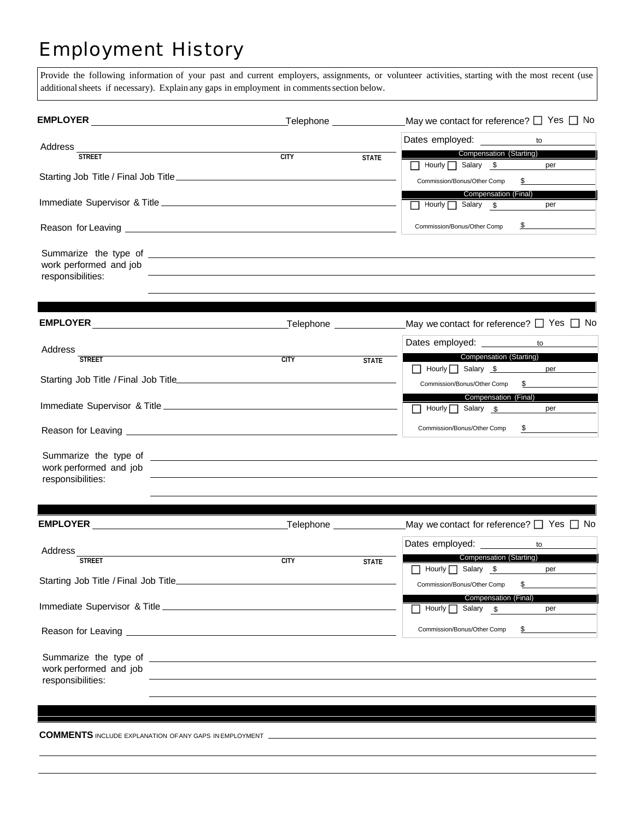## Employment History

Provide the following information of your past and current employers, assignments, or volunteer activities, starting with the most recent (use additional sheets if necessary). Explain any gaps in employment in comments section below.

|                                             | Telephone <u>with the set of the set of the set of the set of the set of the set of the set of the set of the set of the set of the set of the set of the set of the set of the set of the set of the set of the set of the set </u> |              | May we contact for reference? $\Box$ Yes $\Box$ No                                                                                                                                                                             |
|---------------------------------------------|--------------------------------------------------------------------------------------------------------------------------------------------------------------------------------------------------------------------------------------|--------------|--------------------------------------------------------------------------------------------------------------------------------------------------------------------------------------------------------------------------------|
|                                             |                                                                                                                                                                                                                                      |              | Dates employed:<br>to                                                                                                                                                                                                          |
| Address $\frac{1}{\text{STREET}}$           | CITY                                                                                                                                                                                                                                 | <b>STATE</b> | Compensation (Starting)                                                                                                                                                                                                        |
|                                             |                                                                                                                                                                                                                                      |              | Hourly Salary \$<br>per                                                                                                                                                                                                        |
|                                             |                                                                                                                                                                                                                                      |              | $\frac{1}{2}$<br>Commission/Bonus/Other Comp                                                                                                                                                                                   |
|                                             |                                                                                                                                                                                                                                      |              | <b>Compensation (Final)</b>                                                                                                                                                                                                    |
|                                             |                                                                                                                                                                                                                                      |              | Hourly Salary \$<br>per                                                                                                                                                                                                        |
|                                             |                                                                                                                                                                                                                                      |              | $\frac{\text{S}}{\text{S}}$<br>Commission/Bonus/Other Comp                                                                                                                                                                     |
| work performed and job<br>responsibilities: |                                                                                                                                                                                                                                      |              | <u> 1989 - Johann Stoff, amerikansk politiker (d. 1989)</u>                                                                                                                                                                    |
|                                             |                                                                                                                                                                                                                                      |              |                                                                                                                                                                                                                                |
|                                             |                                                                                                                                                                                                                                      |              | May we contact for reference? $\square$ Yes $\square$ No                                                                                                                                                                       |
|                                             |                                                                                                                                                                                                                                      |              | Dates employed: ___________ to ______                                                                                                                                                                                          |
| Address<br><b>STREET</b>                    | <b>CITY</b>                                                                                                                                                                                                                          | <b>STATE</b> | <b>Compensation (Starting)</b>                                                                                                                                                                                                 |
|                                             |                                                                                                                                                                                                                                      |              | Hourly Salary \$ per                                                                                                                                                                                                           |
|                                             |                                                                                                                                                                                                                                      |              | Commission/Bonus/Other Comp<br>$\mathbb{S}$                                                                                                                                                                                    |
|                                             |                                                                                                                                                                                                                                      |              | Compensation (Final)                                                                                                                                                                                                           |
|                                             |                                                                                                                                                                                                                                      |              | Hourly Salary \$<br>per                                                                                                                                                                                                        |
|                                             |                                                                                                                                                                                                                                      |              | Commission/Bonus/Other Comp \$                                                                                                                                                                                                 |
| work performed and job<br>responsibilities: |                                                                                                                                                                                                                                      |              |                                                                                                                                                                                                                                |
|                                             |                                                                                                                                                                                                                                      |              |                                                                                                                                                                                                                                |
|                                             |                                                                                                                                                                                                                                      |              |                                                                                                                                                                                                                                |
|                                             |                                                                                                                                                                                                                                      |              | Dates employed: to to the base of the base of the base of the base of the base of the base of the base of the base of the base of the base of the base of the base of the base of the base of the base of the base of the base |
| Address<br><b>STREET</b>                    | <b>CITY</b>                                                                                                                                                                                                                          | <b>STATE</b> | <b>Compensation (Starting)</b>                                                                                                                                                                                                 |
|                                             |                                                                                                                                                                                                                                      |              | Hourly Salary \$<br>per                                                                                                                                                                                                        |
|                                             |                                                                                                                                                                                                                                      |              | $\mathbb{S}$<br>Commission/Bonus/Other Comp                                                                                                                                                                                    |

Immediate Supervisor & Title Reason for Leaving Summarize the type of \_ work performed and job responsibilities: Compensation (Final) Hourly Salary \$ \$ \$ Commission/Bonus/Other Comp

**COMMENTS** INCLUDE EXPLANATION OF ANY GAPS IN EMPLOYMENT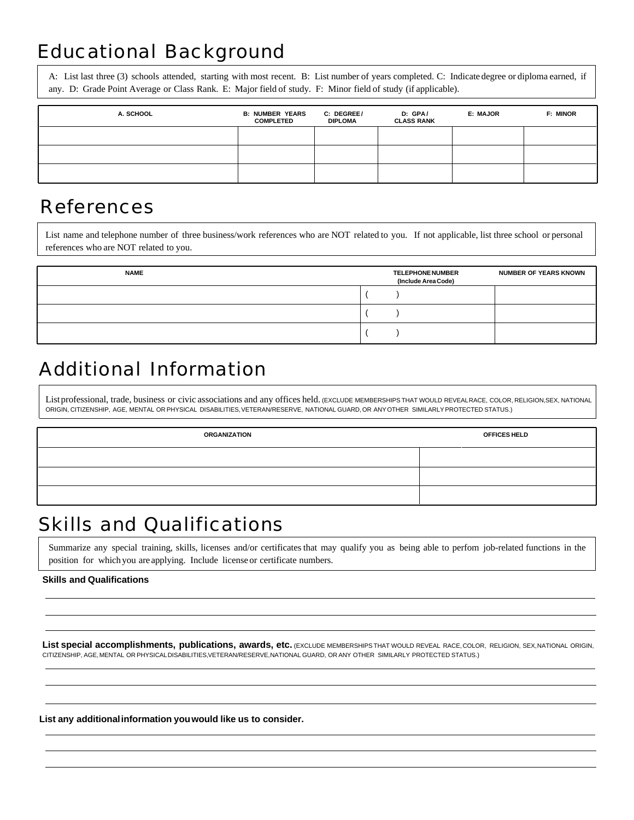# Educational Background

A: List last three (3) schools attended, starting with most recent. B: List number of years completed. C: Indicate degree or diploma earned, if any. D: Grade Point Average or Class Rank. E: Major field of study. F: Minor field of study (if applicable).

| A. SCHOOL | <b>B: NUMBER YEARS</b><br><b>COMPLETED</b> | C: DEGREE/<br><b>DIPLOMA</b> | D: GPA/<br><b>CLASS RANK</b> | E: MAJOR | <b>F: MINOR</b> |
|-----------|--------------------------------------------|------------------------------|------------------------------|----------|-----------------|
|           |                                            |                              |                              |          |                 |
|           |                                            |                              |                              |          |                 |
|           |                                            |                              |                              |          |                 |

#### References

List name and telephone number of three business/work references who are NOT related to you. If not applicable, list three school or personal references who are NOT related to you.

| <b>NAME</b> | <b>TELEPHONE NUMBER</b><br>(Include Area Code) | <b>NUMBER OF YEARS KNOWN</b> |
|-------------|------------------------------------------------|------------------------------|
|             |                                                |                              |
|             |                                                |                              |
|             |                                                |                              |

## Additional Information

List professional, trade, business or civic associations and any offices held. (EXCLUDE MEMBERSHIPS THAT WOULD REVEAL RACE, COLOR, RELIGION, SEX, NATIONAL ORIGIN, CITIZENSHIP, AGE, MENTAL OR PHYSICAL DISABILITIES, VETERAN/RESERVE, NATIONAL GUARD, OR ANY OTHER SIMILARLY PROTECTED STATUS.)

| <b>ORGANIZATION</b> | <b>OFFICES HELD</b> |  |
|---------------------|---------------------|--|
|                     |                     |  |
|                     |                     |  |
|                     |                     |  |

#### Skills and Qualifications

Summarize any special training, skills, licenses and/or certificates that may qualify you as being able to perfom job-related functions in the position for which you are applying. Include license or certificate numbers.

#### **Skills and Qualifications**

List special accomplishments, publications, awards, etc. *(EXCLUDE MEMBERSHIPS THAT WOULD REVEAL RACE, COLOR, RELIGION, SEX, NATIONAL ORIGIN*, CITIZENSHIP, AGE, MENTAL OR PHYSICAL DISABILITIES, VETERAN/RESERVE, NATIONAL GUARD, OR ANY OTHER SIMILARLY PROTECTED STATUS.)

**List any additional information you would like us to consider.**